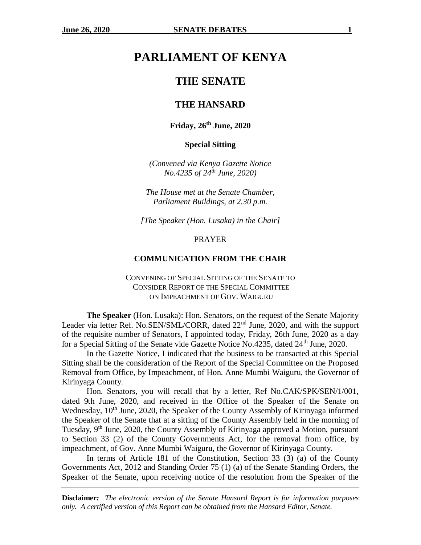# **PARLIAMENT OF KENYA**

# **THE SENATE**

# **THE HANSARD**

# **Friday, 26th June, 2020**

**Special Sitting**

*(Convened via Kenya Gazette Notice No.4235 of 24th June, 2020)*

*The House met at the Senate Chamber, Parliament Buildings, at 2.30 p.m.*

*[The Speaker (Hon. Lusaka) in the Chair]*

#### PRAYER

#### **COMMUNICATION FROM THE CHAIR**

# CONVENING OF SPECIAL SITTING OF THE SENATE TO CONSIDER REPORT OF THE SPECIAL COMMITTEE ON IMPEACHMENT OF GOV. WAIGURU

**The Speaker** (Hon. Lusaka): Hon. Senators, on the request of the Senate Majority Leader via letter Ref. No.SEN/SML/CORR, dated 22<sup>nd</sup> June, 2020, and with the support of the requisite number of Senators, I appointed today, Friday, 26th June, 2020 as a day for a Special Sitting of the Senate vide Gazette Notice No.4235, dated 24<sup>th</sup> June, 2020.

In the Gazette Notice, I indicated that the business to be transacted at this Special Sitting shall be the consideration of the Report of the Special Committee on the Proposed Removal from Office, by Impeachment, of Hon. Anne Mumbi Waiguru, the Governor of Kirinyaga County.

Hon. Senators, you will recall that by a letter, Ref No.CAK/SPK/SEN/1/001, dated 9th June, 2020, and received in the Office of the Speaker of the Senate on Wednesday, 10<sup>th</sup> June, 2020, the Speaker of the County Assembly of Kirinyaga informed the Speaker of the Senate that at a sitting of the County Assembly held in the morning of Tuesday, 9<sup>th</sup> June, 2020, the County Assembly of Kirinyaga approved a Motion, pursuant to Section 33 (2) of the County Governments Act, for the removal from office, by impeachment, of Gov. Anne Mumbi Waiguru, the Governor of Kirinyaga County.

In terms of Article 181 of the Constitution, Section 33 (3) (a) of the County Governments Act, 2012 and Standing Order 75 (1) (a) of the Senate Standing Orders, the Speaker of the Senate, upon receiving notice of the resolution from the Speaker of the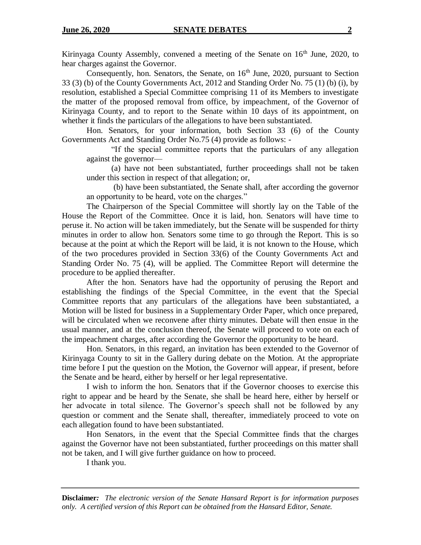Kirinyaga County Assembly, convened a meeting of the Senate on  $16<sup>th</sup>$  June, 2020, to hear charges against the Governor.

Consequently, hon. Senators, the Senate, on  $16<sup>th</sup>$  June, 2020, pursuant to Section 33 (3) (b) of the County Governments Act, 2012 and Standing Order No. 75 (1) (b) (i), by resolution, established a Special Committee comprising 11 of its Members to investigate the matter of the proposed removal from office, by impeachment, of the Governor of Kirinyaga County, and to report to the Senate within 10 days of its appointment, on whether it finds the particulars of the allegations to have been substantiated.

Hon. Senators, for your information, both Section 33 (6) of the County Governments Act and Standing Order No.75 (4) provide as follows: -

"If the special committee reports that the particulars of any allegation against the governor—

(a) have not been substantiated, further proceedings shall not be taken under this section in respect of that allegation; or,

(b) have been substantiated, the Senate shall, after according the governor an opportunity to be heard, vote on the charges."

The Chairperson of the Special Committee will shortly lay on the Table of the House the Report of the Committee. Once it is laid, hon. Senators will have time to peruse it. No action will be taken immediately, but the Senate will be suspended for thirty minutes in order to allow hon. Senators some time to go through the Report. This is so because at the point at which the Report will be laid, it is not known to the House, which of the two procedures provided in Section 33(6) of the County Governments Act and Standing Order No. 75 (4), will be applied. The Committee Report will determine the procedure to be applied thereafter.

After the hon. Senators have had the opportunity of perusing the Report and establishing the findings of the Special Committee, in the event that the Special Committee reports that any particulars of the allegations have been substantiated, a Motion will be listed for business in a Supplementary Order Paper, which once prepared, will be circulated when we reconvene after thirty minutes. Debate will then ensue in the usual manner, and at the conclusion thereof, the Senate will proceed to vote on each of the impeachment charges, after according the Governor the opportunity to be heard.

Hon. Senators, in this regard, an invitation has been extended to the Governor of Kirinyaga County to sit in the Gallery during debate on the Motion. At the appropriate time before I put the question on the Motion, the Governor will appear, if present, before the Senate and be heard, either by herself or her legal representative.

I wish to inform the hon. Senators that if the Governor chooses to exercise this right to appear and be heard by the Senate, she shall be heard here, either by herself or her advocate in total silence. The Governor's speech shall not be followed by any question or comment and the Senate shall, thereafter, immediately proceed to vote on each allegation found to have been substantiated.

Hon Senators, in the event that the Special Committee finds that the charges against the Governor have not been substantiated, further proceedings on this matter shall not be taken, and I will give further guidance on how to proceed.

I thank you.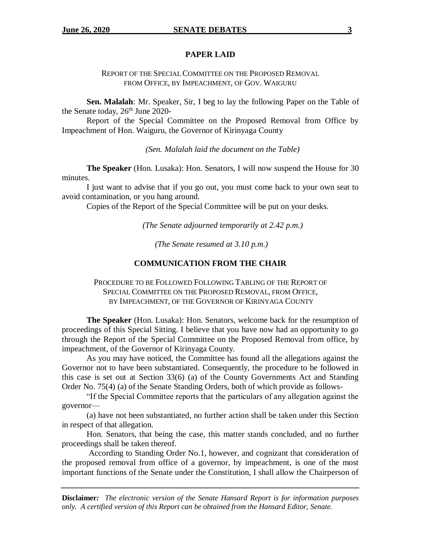## **PAPER LAID**

REPORT OF THE SPECIAL COMMITTEE ON THE PROPOSED REMOVAL FROM OFFICE, BY IMPEACHMENT, OF GOV. WAIGURU

**Sen. Malalah**: Mr. Speaker, Sir, I beg to lay the following Paper on the Table of the Senate today,  $26<sup>th</sup>$  June 2020-

Report of the Special Committee on the Proposed Removal from Office by Impeachment of Hon. Waiguru, the Governor of Kirinyaga County

*(Sen. Malalah laid the document on the Table)*

**The Speaker** (Hon. Lusaka): Hon. Senators, I will now suspend the House for 30 minutes.

I just want to advise that if you go out, you must come back to your own seat to avoid contamination, or you hang around.

Copies of the Report of the Special Committee will be put on your desks.

*(The Senate adjourned temporarily at 2.42 p.m.)*

*(The Senate resumed at 3.10 p.m.)*

#### **COMMUNICATION FROM THE CHAIR**

PROCEDURE TO BE FOLLOWED FOLLOWING TABLING OF THE REPORT OF SPECIAL COMMITTEE ON THE PROPOSED REMOVAL, FROM OFFICE, BY IMPEACHMENT, OF THE GOVERNOR OF KIRINYAGA COUNTY

**The Speaker** (Hon. Lusaka): Hon. Senators, welcome back for the resumption of proceedings of this Special Sitting. I believe that you have now had an opportunity to go through the Report of the Special Committee on the Proposed Removal from office, by impeachment, of the Governor of Kirinyaga County.

As you may have noticed, the Committee has found all the allegations against the Governor not to have been substantiated. Consequently, the procedure to be followed in this case is set out at Section 33(6) (a) of the County Governments Act and Standing Order No. 75(4) (a) of the Senate Standing Orders, both of which provide as follows-

"If the Special Committee reports that the particulars of any allegation against the governor—

(a) have not been substantiated, no further action shall be taken under this Section in respect of that allegation.

Hon. Senators, that being the case, this matter stands concluded, and no further proceedings shall be taken thereof.

According to Standing Order No.1, however, and cognizant that consideration of the proposed removal from office of a governor, by impeachment, is one of the most important functions of the Senate under the Constitution, I shall allow the Chairperson of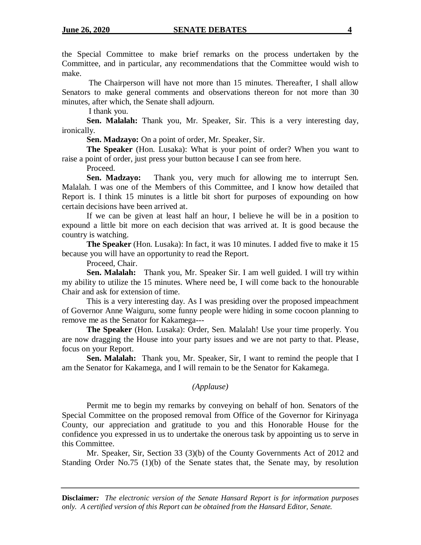the Special Committee to make brief remarks on the process undertaken by the Committee, and in particular, any recommendations that the Committee would wish to make.

The Chairperson will have not more than 15 minutes. Thereafter, I shall allow Senators to make general comments and observations thereon for not more than 30 minutes, after which, the Senate shall adjourn.

I thank you.

**Sen. Malalah:** Thank you, Mr. Speaker, Sir. This is a very interesting day, ironically.

**Sen. Madzayo:** On a point of order, Mr. Speaker, Sir.

**The Speaker** (Hon. Lusaka): What is your point of order? When you want to raise a point of order, just press your button because I can see from here.

Proceed.

**Sen. Madzayo:** Thank you, very much for allowing me to interrupt Sen. Malalah. I was one of the Members of this Committee, and I know how detailed that Report is. I think 15 minutes is a little bit short for purposes of expounding on how certain decisions have been arrived at.

If we can be given at least half an hour, I believe he will be in a position to expound a little bit more on each decision that was arrived at. It is good because the country is watching.

**The Speaker** (Hon. Lusaka): In fact, it was 10 minutes. I added five to make it 15 because you will have an opportunity to read the Report.

Proceed, Chair.

**Sen. Malalah:** Thank you, Mr. Speaker Sir. I am well guided. I will try within my ability to utilize the 15 minutes. Where need be, I will come back to the honourable Chair and ask for extension of time.

This is a very interesting day. As I was presiding over the proposed impeachment of Governor Anne Waiguru, some funny people were hiding in some cocoon planning to remove me as the Senator for Kakamega---

**The Speaker** (Hon. Lusaka): Order, Sen. Malalah! Use your time properly. You are now dragging the House into your party issues and we are not party to that. Please, focus on your Report.

**Sen. Malalah:** Thank you, Mr. Speaker, Sir, I want to remind the people that I am the Senator for Kakamega, and I will remain to be the Senator for Kakamega.

# *(Applause)*

Permit me to begin my remarks by conveying on behalf of hon. Senators of the Special Committee on the proposed removal from Office of the Governor for Kirinyaga County, our appreciation and gratitude to you and this Honorable House for the confidence you expressed in us to undertake the onerous task by appointing us to serve in this Committee.

Mr. Speaker, Sir, Section 33 (3)(b) of the County Governments Act of 2012 and Standing Order No.75 (1)(b) of the Senate states that, the Senate may, by resolution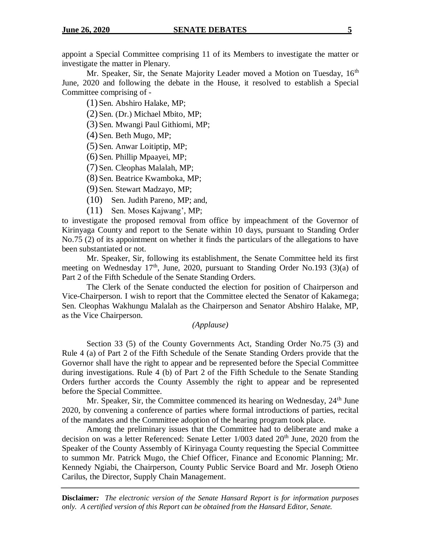appoint a Special Committee comprising 11 of its Members to investigate the matter or investigate the matter in Plenary.

Mr. Speaker, Sir, the Senate Majority Leader moved a Motion on Tuesday, 16<sup>th</sup> June, 2020 and following the debate in the House, it resolved to establish a Special Committee comprising of -

(1) Sen. Abshiro Halake, MP;

(2) Sen. (Dr.) Michael Mbito, MP;

(3) Sen. Mwangi Paul Githiomi, MP;

(4) Sen. Beth Mugo, MP;

(5) Sen. Anwar Loitiptip, MP;

(6) Sen. Phillip Mpaayei, MP;

(7) Sen. Cleophas Malalah, MP;

(8) Sen. Beatrice Kwamboka, MP;

(9) Sen. Stewart Madzayo, MP;

- (10) Sen. Judith Pareno, MP; and,
- (11) Sen. Moses Kajwang', MP;

to investigate the proposed removal from office by impeachment of the Governor of Kirinyaga County and report to the Senate within 10 days, pursuant to Standing Order No.75 (2) of its appointment on whether it finds the particulars of the allegations to have been substantiated or not.

Mr. Speaker, Sir, following its establishment, the Senate Committee held its first meeting on Wednesday  $17<sup>th</sup>$ , June, 2020, pursuant to Standing Order No.193 (3)(a) of Part 2 of the Fifth Schedule of the Senate Standing Orders.

The Clerk of the Senate conducted the election for position of Chairperson and Vice-Chairperson. I wish to report that the Committee elected the Senator of Kakamega; Sen. Cleophas Wakhungu Malalah as the Chairperson and Senator Abshiro Halake, MP, as the Vice Chairperson.

## *(Applause)*

Section 33 (5) of the County Governments Act, Standing Order No.75 (3) and Rule 4 (a) of Part 2 of the Fifth Schedule of the Senate Standing Orders provide that the Governor shall have the right to appear and be represented before the Special Committee during investigations. Rule 4 (b) of Part 2 of the Fifth Schedule to the Senate Standing Orders further accords the County Assembly the right to appear and be represented before the Special Committee.

Mr. Speaker, Sir, the Committee commenced its hearing on Wednesday,  $24<sup>th</sup>$  June 2020, by convening a conference of parties where formal introductions of parties, recital of the mandates and the Committee adoption of the hearing program took place.

Among the preliminary issues that the Committee had to deliberate and make a decision on was a letter Referenced: Senate Letter  $1/003$  dated  $20<sup>th</sup>$  June,  $2020$  from the Speaker of the County Assembly of Kirinyaga County requesting the Special Committee to summon Mr. Patrick Mugo, the Chief Officer, Finance and Economic Planning; Mr. Kennedy Ngiabi, the Chairperson, County Public Service Board and Mr. Joseph Otieno Carilus, the Director, Supply Chain Management.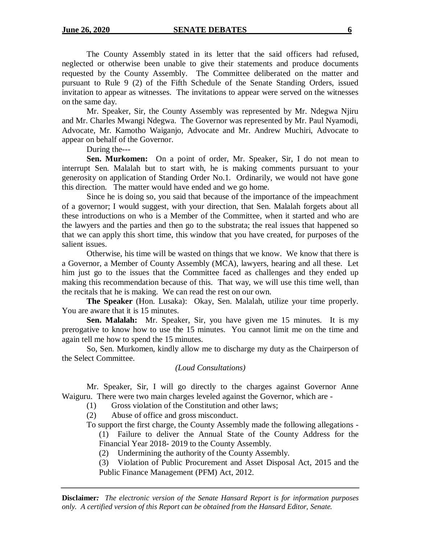The County Assembly stated in its letter that the said officers had refused, neglected or otherwise been unable to give their statements and produce documents requested by the County Assembly. The Committee deliberated on the matter and pursuant to Rule 9 (2) of the Fifth Schedule of the Senate Standing Orders, issued invitation to appear as witnesses. The invitations to appear were served on the witnesses on the same day.

Mr. Speaker, Sir, the County Assembly was represented by Mr. Ndegwa Njiru and Mr. Charles Mwangi Ndegwa. The Governor was represented by Mr. Paul Nyamodi, Advocate, Mr. Kamotho Waiganjo, Advocate and Mr. Andrew Muchiri, Advocate to appear on behalf of the Governor.

During the---

**Sen. Murkomen:** On a point of order, Mr. Speaker, Sir, I do not mean to interrupt Sen. Malalah but to start with, he is making comments pursuant to your generosity on application of Standing Order No.1. Ordinarily, we would not have gone this direction. The matter would have ended and we go home.

Since he is doing so, you said that because of the importance of the impeachment of a governor; I would suggest, with your direction, that Sen. Malalah forgets about all these introductions on who is a Member of the Committee, when it started and who are the lawyers and the parties and then go to the substrata; the real issues that happened so that we can apply this short time, this window that you have created, for purposes of the salient issues.

Otherwise, his time will be wasted on things that we know. We know that there is a Governor, a Member of County Assembly (MCA), lawyers, hearing and all these. Let him just go to the issues that the Committee faced as challenges and they ended up making this recommendation because of this. That way, we will use this time well, than the recitals that he is making. We can read the rest on our own.

**The Speaker** (Hon. Lusaka): Okay, Sen. Malalah, utilize your time properly. You are aware that it is 15 minutes.

**Sen. Malalah:** Mr. Speaker, Sir, you have given me 15 minutes. It is my prerogative to know how to use the 15 minutes. You cannot limit me on the time and again tell me how to spend the 15 minutes.

So, Sen. Murkomen, kindly allow me to discharge my duty as the Chairperson of the Select Committee.

# *(Loud Consultations)*

Mr. Speaker, Sir, I will go directly to the charges against Governor Anne Waiguru. There were two main charges leveled against the Governor, which are -

(1) Gross violation of the Constitution and other laws;

(2) Abuse of office and gross misconduct.

To support the first charge, the County Assembly made the following allegations -

(1) Failure to deliver the Annual State of the County Address for the Financial Year 2018- 2019 to the County Assembly.

(2) Undermining the authority of the County Assembly.

(3) Violation of Public Procurement and Asset Disposal Act, 2015 and the Public Finance Management (PFM) Act, 2012.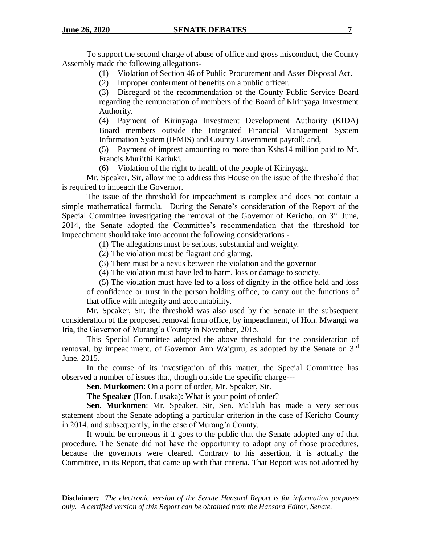To support the second charge of abuse of office and gross misconduct, the County Assembly made the following allegations-

(1) Violation of Section 46 of Public Procurement and Asset Disposal Act.

(2) Improper conferment of benefits on a public officer.

(3) Disregard of the recommendation of the County Public Service Board regarding the remuneration of members of the Board of Kirinyaga Investment Authority.

(4) Payment of Kirinyaga Investment Development Authority (KIDA) Board members outside the Integrated Financial Management System Information System (IFMIS) and County Government payroll; and,

(5) Payment of imprest amounting to more than Kshs14 million paid to Mr. Francis Muriithi Kariuki.

(6) Violation of the right to health of the people of Kirinyaga.

Mr. Speaker, Sir, allow me to address this House on the issue of the threshold that is required to impeach the Governor.

The issue of the threshold for impeachment is complex and does not contain a simple mathematical formula. During the Senate's consideration of the Report of the Special Committee investigating the removal of the Governor of Kericho, on  $3<sup>rd</sup>$  June, 2014, the Senate adopted the Committee's recommendation that the threshold for impeachment should take into account the following considerations -

(1) The allegations must be serious, substantial and weighty.

(2) The violation must be flagrant and glaring.

(3) There must be a nexus between the violation and the governor

(4) The violation must have led to harm, loss or damage to society.

(5) The violation must have led to a loss of dignity in the office held and loss of confidence or trust in the person holding office, to carry out the functions of that office with integrity and accountability.

Mr. Speaker, Sir, the threshold was also used by the Senate in the subsequent consideration of the proposed removal from office, by impeachment, of Hon. Mwangi wa Iria, the Governor of Murang'a County in November, 2015.

This Special Committee adopted the above threshold for the consideration of removal, by impeachment, of Governor Ann Waiguru, as adopted by the Senate on  $3<sup>rd</sup>$ June, 2015.

In the course of its investigation of this matter, the Special Committee has observed a number of issues that, though outside the specific charge---

**Sen. Murkomen**: On a point of order, Mr. Speaker, Sir.

**The Speaker** (Hon. Lusaka): What is your point of order?

**Sen. Murkomen**: Mr. Speaker, Sir, Sen. Malalah has made a very serious statement about the Senate adopting a particular criterion in the case of Kericho County in 2014, and subsequently, in the case of Murang'a County.

It would be erroneous if it goes to the public that the Senate adopted any of that procedure. The Senate did not have the opportunity to adopt any of those procedures, because the governors were cleared. Contrary to his assertion, it is actually the Committee, in its Report, that came up with that criteria. That Report was not adopted by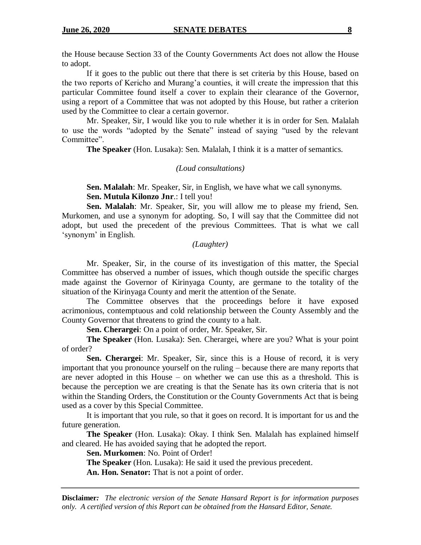the House because Section 33 of the County Governments Act does not allow the House to adopt.

If it goes to the public out there that there is set criteria by this House, based on the two reports of Kericho and Murang'a counties, it will create the impression that this particular Committee found itself a cover to explain their clearance of the Governor, using a report of a Committee that was not adopted by this House, but rather a criterion used by the Committee to clear a certain governor.

Mr. Speaker, Sir, I would like you to rule whether it is in order for Sen. Malalah to use the words "adopted by the Senate" instead of saying "used by the relevant Committee".

**The Speaker** (Hon. Lusaka): Sen. Malalah, I think it is a matter of semantics.

#### *(Loud consultations)*

**Sen. Malalah**: Mr. Speaker, Sir, in English, we have what we call synonyms. **Sen. Mutula Kilonzo Jnr**.: I tell you!

**Sen. Malalah**: Mr. Speaker, Sir, you will allow me to please my friend, Sen. Murkomen, and use a synonym for adopting. So, I will say that the Committee did not adopt, but used the precedent of the previous Committees. That is what we call 'synonym' in English.

# *(Laughter)*

Mr. Speaker, Sir, in the course of its investigation of this matter, the Special Committee has observed a number of issues, which though outside the specific charges made against the Governor of Kirinyaga County, are germane to the totality of the situation of the Kirinyaga County and merit the attention of the Senate.

The Committee observes that the proceedings before it have exposed acrimonious, contemptuous and cold relationship between the County Assembly and the County Governor that threatens to grind the county to a halt.

**Sen. Cherargei**: On a point of order, Mr. Speaker, Sir.

**The Speaker** (Hon. Lusaka): Sen. Cherargei, where are you? What is your point of order?

**Sen. Cherargei**: Mr. Speaker, Sir, since this is a House of record, it is very important that you pronounce yourself on the ruling – because there are many reports that are never adopted in this House – on whether we can use this as a threshold. This is because the perception we are creating is that the Senate has its own criteria that is not within the Standing Orders, the Constitution or the County Governments Act that is being used as a cover by this Special Committee.

It is important that you rule, so that it goes on record. It is important for us and the future generation.

**The Speaker** (Hon. Lusaka): Okay. I think Sen. Malalah has explained himself and cleared. He has avoided saying that he adopted the report.

**Sen. Murkomen**: No. Point of Order!

**The Speaker** (Hon. Lusaka): He said it used the previous precedent.

**An. Hon. Senator:** That is not a point of order.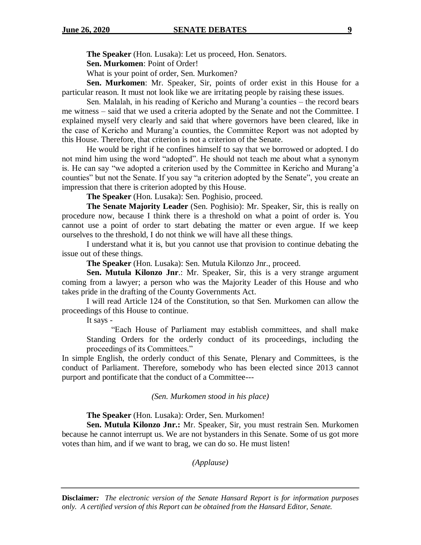**The Speaker** (Hon. Lusaka): Let us proceed, Hon. Senators.

**Sen. Murkomen**: Point of Order!

What is your point of order, Sen. Murkomen?

**Sen. Murkomen**: Mr. Speaker, Sir, points of order exist in this House for a particular reason. It must not look like we are irritating people by raising these issues.

Sen. Malalah, in his reading of Kericho and Murang'a counties – the record bears me witness – said that we used a criteria adopted by the Senate and not the Committee. I explained myself very clearly and said that where governors have been cleared, like in the case of Kericho and Murang'a counties, the Committee Report was not adopted by this House. Therefore, that criterion is not a criterion of the Senate.

He would be right if he confines himself to say that we borrowed or adopted. I do not mind him using the word "adopted". He should not teach me about what a synonym is. He can say "we adopted a criterion used by the Committee in Kericho and Murang'a counties" but not the Senate. If you say "a criterion adopted by the Senate", you create an impression that there is criterion adopted by this House.

**The Speaker** (Hon. Lusaka): Sen. Poghisio, proceed.

**The Senate Majority Leader** (Sen. Poghisio): Mr. Speaker, Sir, this is really on procedure now, because I think there is a threshold on what a point of order is. You cannot use a point of order to start debating the matter or even argue. If we keep ourselves to the threshold, I do not think we will have all these things.

I understand what it is, but you cannot use that provision to continue debating the issue out of these things.

**The Speaker** (Hon. Lusaka): Sen. Mutula Kilonzo Jnr., proceed.

**Sen. Mutula Kilonzo Jnr**.: Mr. Speaker, Sir, this is a very strange argument coming from a lawyer; a person who was the Majority Leader of this House and who takes pride in the drafting of the County Governments Act.

I will read Article 124 of the Constitution, so that Sen. Murkomen can allow the proceedings of this House to continue.

It says -

"Each House of Parliament may establish committees, and shall make Standing Orders for the orderly conduct of its proceedings, including the proceedings of its Committees."

In simple English, the orderly conduct of this Senate, Plenary and Committees, is the conduct of Parliament. Therefore, somebody who has been elected since 2013 cannot purport and pontificate that the conduct of a Committee---

*(Sen. Murkomen stood in his place)*

**The Speaker** (Hon. Lusaka): Order, Sen. Murkomen!

**Sen. Mutula Kilonzo Jnr.:** Mr. Speaker, Sir, you must restrain Sen. Murkomen because he cannot interrupt us. We are not bystanders in this Senate. Some of us got more votes than him, and if we want to brag, we can do so. He must listen!

*(Applause)*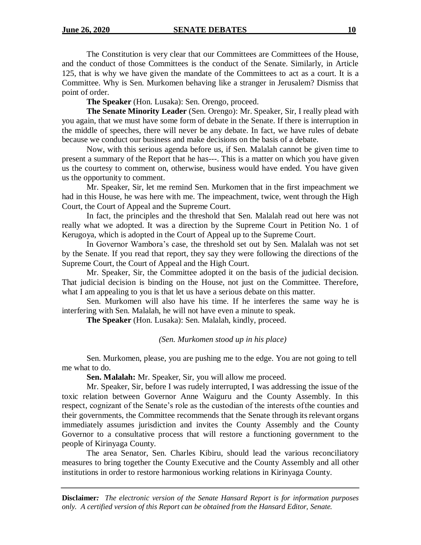The Constitution is very clear that our Committees are Committees of the House, and the conduct of those Committees is the conduct of the Senate. Similarly, in Article 125, that is why we have given the mandate of the Committees to act as a court. It is a Committee. Why is Sen. Murkomen behaving like a stranger in Jerusalem? Dismiss that point of order.

**The Speaker** (Hon. Lusaka): Sen. Orengo, proceed.

**The Senate Minority Leader** (Sen. Orengo): Mr. Speaker, Sir, I really plead with you again, that we must have some form of debate in the Senate. If there is interruption in the middle of speeches, there will never be any debate. In fact, we have rules of debate because we conduct our business and make decisions on the basis of a debate.

Now, with this serious agenda before us, if Sen. Malalah cannot be given time to present a summary of the Report that he has---. This is a matter on which you have given us the courtesy to comment on, otherwise, business would have ended. You have given us the opportunity to comment.

Mr. Speaker, Sir, let me remind Sen. Murkomen that in the first impeachment we had in this House, he was here with me. The impeachment, twice, went through the High Court, the Court of Appeal and the Supreme Court.

In fact, the principles and the threshold that Sen. Malalah read out here was not really what we adopted. It was a direction by the Supreme Court in Petition No. 1 of Kerugoya, which is adopted in the Court of Appeal up to the Supreme Court.

In Governor Wambora's case, the threshold set out by Sen. Malalah was not set by the Senate. If you read that report, they say they were following the directions of the Supreme Court, the Court of Appeal and the High Court.

Mr. Speaker, Sir, the Committee adopted it on the basis of the judicial decision. That judicial decision is binding on the House, not just on the Committee. Therefore, what I am appealing to you is that let us have a serious debate on this matter.

Sen. Murkomen will also have his time. If he interferes the same way he is interfering with Sen. Malalah, he will not have even a minute to speak.

**The Speaker** (Hon. Lusaka): Sen. Malalah, kindly, proceed.

#### *(Sen. Murkomen stood up in his place)*

Sen. Murkomen, please, you are pushing me to the edge. You are not going to tell me what to do.

**Sen. Malalah:** Mr. Speaker, Sir, you will allow me proceed.

Mr. Speaker, Sir, before I was rudely interrupted, I was addressing the issue of the toxic relation between Governor Anne Waiguru and the County Assembly. In this respect, cognizant of the Senate's role as the custodian of the interests ofthe counties and their governments, the Committee recommends that the Senate through itsrelevant organs immediately assumes jurisdiction and invites the County Assembly and the County Governor to a consultative process that will restore a functioning government to the people of Kirinyaga County.

The area Senator, Sen. Charles Kibiru, should lead the various reconciliatory measures to bring together the County Executive and the County Assembly and all other institutions in order to restore harmonious working relations in Kirinyaga County.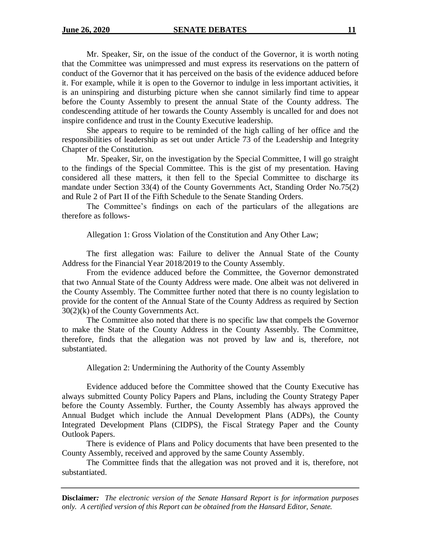Mr. Speaker, Sir, on the issue of the conduct of the Governor, it is worth noting that the Committee was unimpressed and must express its reservations on the pattern of conduct of the Governor that it has perceived on the basis of the evidence adduced before it. For example, while it is open to the Governor to indulge in less important activities, it is an uninspiring and disturbing picture when she cannot similarly find time to appear before the County Assembly to present the annual State of the County address. The condescending attitude of her towards the County Assembly is uncalled for and does not inspire confidence and trust in the County Executive leadership.

She appears to require to be reminded of the high calling of her office and the responsibilities of leadership as set out under Article 73 of the Leadership and Integrity Chapter of the Constitution.

Mr. Speaker, Sir, on the investigation by the Special Committee, I will go straight to the findings of the Special Committee. This is the gist of my presentation. Having considered all these matters, it then fell to the Special Committee to discharge its mandate under Section 33(4) of the County Governments Act, Standing Order No.75(2) and Rule 2 of Part II of the Fifth Schedule to the Senate Standing Orders.

The Committee's findings on each of the particulars of the allegations are therefore as follows-

Allegation 1: Gross Violation of the Constitution and Any Other Law;

The first allegation was: Failure to deliver the Annual State of the County Address for the Financial Year 2018/2019 to the County Assembly.

From the evidence adduced before the Committee, the Governor demonstrated that two Annual State of the County Address were made. One albeit was not delivered in the County Assembly. The Committee further noted that there is no county legislation to provide for the content of the Annual State of the County Address as required by Section 30(2)(k) of the County Governments Act.

The Committee also noted that there is no specific law that compels the Governor to make the State of the County Address in the County Assembly. The Committee, therefore, finds that the allegation was not proved by law and is, therefore, not substantiated.

Allegation 2: Undermining the Authority of the County Assembly

Evidence adduced before the Committee showed that the County Executive has always submitted County Policy Papers and Plans, including the County Strategy Paper before the County Assembly. Further, the County Assembly has always approved the Annual Budget which include the Annual Development Plans (ADPs), the County Integrated Development Plans (CIDPS), the Fiscal Strategy Paper and the County Outlook Papers.

There is evidence of Plans and Policy documents that have been presented to the County Assembly, received and approved by the same County Assembly.

The Committee finds that the allegation was not proved and it is, therefore, not substantiated.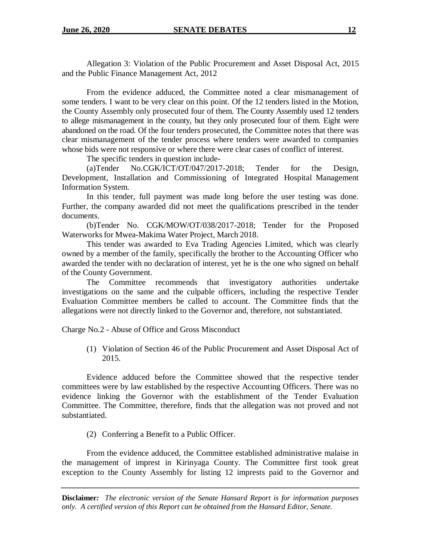Allegation 3: Violation of the Public Procurement and Asset Disposal Act, 2015 and the Public Finance Management Act, 2012

From the evidence adduced, the Committee noted a clear mismanagement of some tenders. I want to be very clear on this point. Of the 12 tenders listed in the Motion, the County Assembly only prosecuted four of them. The County Assembly used 12 tenders to allege mismanagement in the county, but they only prosecuted four of them. Eight were abandoned on the road. Of the four tenders prosecuted, the Committee notes that there was clear mismanagement of the tender process where tenders were awarded to companies whose bids were not responsive or where there were clear cases of conflict of interest.

The specific tenders in question include-

(a)Tender No.CGK/ICT/OT/047/2017-2018; Tender for the Design, Development, Installation and Commissioning of Integrated Hospital Management Information System.

In this tender, full payment was made long before the user testing was done. Further, the company awarded did not meet the qualifications prescribed in the tender documents.

(b)Tender No. CGK/MOW/OT/038/2017-2018; Tender for the Proposed Waterworks for Mwea-Makima Water Project, March 2018.

This tender was awarded to Eva Trading Agencies Limited, which was clearly owned by a member of the family, specifically the brother to the Accounting Officer who awarded the tender with no declaration of interest, yet he is the one who signed on behalf of the County Government.

The Committee recommends that investigatory authorities undertake investigations on the same and the culpable officers, including the respective Tender Evaluation Committee members be called to account. The Committee finds that the allegations were not directly linked to the Governor and, therefore, not substantiated.

Charge No.2 - Abuse of Office and Gross Misconduct

(1) Violation of Section 46 of the Public Procurement and Asset Disposal Act of 2015.

Evidence adduced before the Committee showed that the respective tender committees were by law established by the respective Accounting Officers. There was no evidence linking the Governor with the establishment of the Tender Evaluation Committee. The Committee, therefore, finds that the allegation was not proved and not substantiated.

(2) Conferring a Benefit to a Public Officer.

From the evidence adduced, the Committee established administrative malaise in the management of imprest in Kirinyaga County. The Committee first took great exception to the County Assembly for listing 12 imprests paid to the Governor and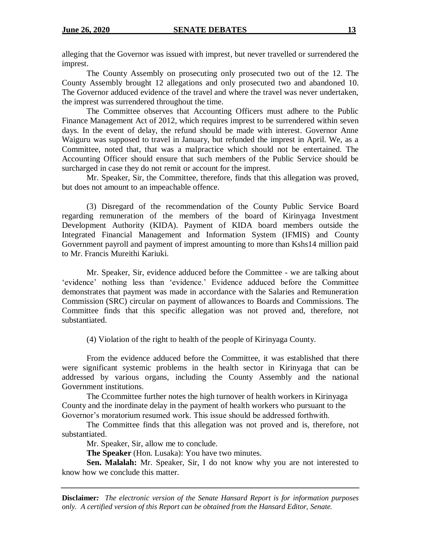alleging that the Governor was issued with imprest, but never travelled or surrendered the imprest.

The County Assembly on prosecuting only prosecuted two out of the 12. The County Assembly brought 12 allegations and only prosecuted two and abandoned 10. The Governor adduced evidence of the travel and where the travel was never undertaken, the imprest was surrendered throughout the time.

The Committee observes that Accounting Officers must adhere to the Public Finance Management Act of 2012, which requires imprest to be surrendered within seven days. In the event of delay, the refund should be made with interest. Governor Anne Waiguru was supposed to travel in January, but refunded the imprest in April. We, as a Committee, noted that, that was a malpractice which should not be entertained. The Accounting Officer should ensure that such members of the Public Service should be surcharged in case they do not remit or account for the imprest.

Mr. Speaker, Sir, the Committee, therefore, finds that this allegation was proved, but does not amount to an impeachable offence.

(3) Disregard of the recommendation of the County Public Service Board regarding remuneration of the members of the board of Kirinyaga Investment Development Authority (KIDA). Payment of KIDA board members outside the Integrated Financial Management and Information System (IFMIS) and County Government payroll and payment of imprest amounting to more than Kshs14 million paid to Mr. Francis Mureithi Kariuki.

Mr. Speaker, Sir, evidence adduced before the Committee - we are talking about 'evidence' nothing less than 'evidence.' Evidence adduced before the Committee demonstrates that payment was made in accordance with the Salaries and Remuneration Commission (SRC) circular on payment of allowances to Boards and Commissions. The Committee finds that this specific allegation was not proved and, therefore, not substantiated.

(4) Violation of the right to health of the people of Kirinyaga County.

 From the evidence adduced before the Committee, it was established that there were significant systemic problems in the health sector in Kirinyaga that can be addressed by various organs, including the County Assembly and the national Government institutions.

The Ccommittee further notes the high turnover of health workers in Kirinyaga County and the inordinate delay in the payment of health workers who pursuant to the Governor's moratorium resumed work. This issue should be addressed forthwith.

The Committee finds that this allegation was not proved and is, therefore, not substantiated.

Mr. Speaker, Sir, allow me to conclude.

**The Speaker** (Hon. Lusaka): You have two minutes.

**Sen. Malalah:** Mr. Speaker, Sir, I do not know why you are not interested to know how we conclude this matter.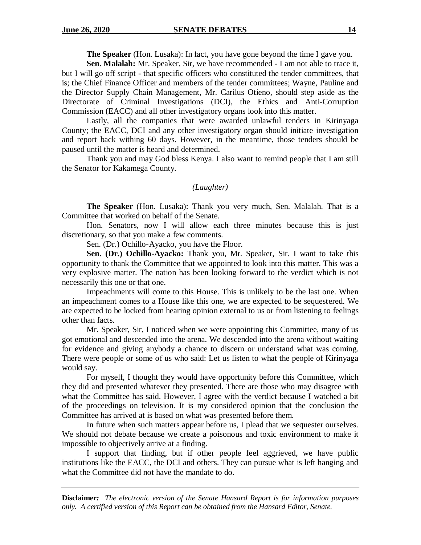**The Speaker** (Hon. Lusaka): In fact, you have gone beyond the time I gave you.

**Sen. Malalah:** Mr. Speaker, Sir, we have recommended - I am not able to trace it, but I will go off script - that specific officers who constituted the tender committees, that is; the Chief Finance Officer and members of the tender committees; Wayne, Pauline and the Director Supply Chain Management, Mr. Carilus Otieno, should step aside as the Directorate of Criminal Investigations (DCI), the Ethics and Anti-Corruption Commission (EACC) and all other investigatory organs look into this matter.

Lastly, all the companies that were awarded unlawful tenders in Kirinyaga County; the EACC, DCI and any other investigatory organ should initiate investigation and report back withing 60 days. However, in the meantime, those tenders should be paused until the matter is heard and determined.

Thank you and may God bless Kenya. I also want to remind people that I am still the Senator for Kakamega County.

# *(Laughter)*

**The Speaker** (Hon. Lusaka): Thank you very much, Sen. Malalah. That is a Committee that worked on behalf of the Senate.

Hon. Senators, now I will allow each three minutes because this is just discretionary, so that you make a few comments.

Sen. (Dr.) Ochillo-Ayacko, you have the Floor.

**Sen. (Dr.) Ochillo-Ayacko:** Thank you, Mr. Speaker, Sir. I want to take this opportunity to thank the Committee that we appointed to look into this matter. This was a very explosive matter. The nation has been looking forward to the verdict which is not necessarily this one or that one.

Impeachments will come to this House. This is unlikely to be the last one. When an impeachment comes to a House like this one, we are expected to be sequestered. We are expected to be locked from hearing opinion external to us or from listening to feelings other than facts.

Mr. Speaker, Sir, I noticed when we were appointing this Committee, many of us got emotional and descended into the arena. We descended into the arena without waiting for evidence and giving anybody a chance to discern or understand what was coming. There were people or some of us who said: Let us listen to what the people of Kirinyaga would say.

For myself, I thought they would have opportunity before this Committee, which they did and presented whatever they presented. There are those who may disagree with what the Committee has said. However, I agree with the verdict because I watched a bit of the proceedings on television. It is my considered opinion that the conclusion the Committee has arrived at is based on what was presented before them.

In future when such matters appear before us, I plead that we sequester ourselves. We should not debate because we create a poisonous and toxic environment to make it impossible to objectively arrive at a finding.

I support that finding, but if other people feel aggrieved, we have public institutions like the EACC, the DCI and others. They can pursue what is left hanging and what the Committee did not have the mandate to do.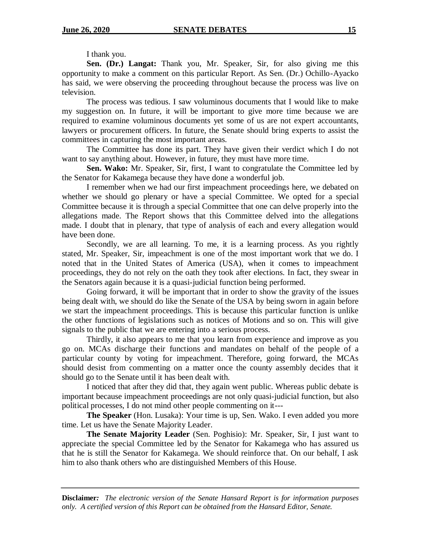I thank you.

**Sen. (Dr.) Langat:** Thank you, Mr. Speaker, Sir, for also giving me this opportunity to make a comment on this particular Report. As Sen. (Dr.) Ochillo-Ayacko has said, we were observing the proceeding throughout because the process was live on television.

The process was tedious. I saw voluminous documents that I would like to make my suggestion on. In future, it will be important to give more time because we are required to examine voluminous documents yet some of us are not expert accountants, lawyers or procurement officers. In future, the Senate should bring experts to assist the committees in capturing the most important areas.

The Committee has done its part. They have given their verdict which I do not want to say anything about. However, in future, they must have more time.

**Sen. Wako:** Mr. Speaker, Sir, first, I want to congratulate the Committee led by the Senator for Kakamega because they have done a wonderful job.

I remember when we had our first impeachment proceedings here, we debated on whether we should go plenary or have a special Committee. We opted for a special Committee because it is through a special Committee that one can delve properly into the allegations made. The Report shows that this Committee delved into the allegations made. I doubt that in plenary, that type of analysis of each and every allegation would have been done.

Secondly, we are all learning. To me, it is a learning process. As you rightly stated, Mr. Speaker, Sir, impeachment is one of the most important work that we do. I noted that in the United States of America (USA), when it comes to impeachment proceedings, they do not rely on the oath they took after elections. In fact, they swear in the Senators again because it is a quasi-judicial function being performed.

Going forward, it will be important that in order to show the gravity of the issues being dealt with, we should do like the Senate of the USA by being sworn in again before we start the impeachment proceedings. This is because this particular function is unlike the other functions of legislations such as notices of Motions and so on. This will give signals to the public that we are entering into a serious process.

Thirdly, it also appears to me that you learn from experience and improve as you go on. MCAs discharge their functions and mandates on behalf of the people of a particular county by voting for impeachment. Therefore, going forward, the MCAs should desist from commenting on a matter once the county assembly decides that it should go to the Senate until it has been dealt with.

I noticed that after they did that, they again went public. Whereas public debate is important because impeachment proceedings are not only quasi-judicial function, but also political processes, I do not mind other people commenting on it---

**The Speaker** (Hon. Lusaka): Your time is up, Sen. Wako. I even added you more time. Let us have the Senate Majority Leader.

**The Senate Majority Leader** (Sen. Poghisio): Mr. Speaker, Sir, I just want to appreciate the special Committee led by the Senator for Kakamega who has assured us that he is still the Senator for Kakamega. We should reinforce that. On our behalf, I ask him to also thank others who are distinguished Members of this House.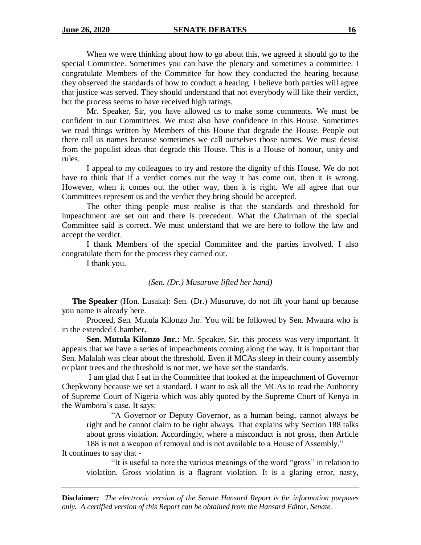When we were thinking about how to go about this, we agreed it should go to the special Committee. Sometimes you can have the plenary and sometimes a committee. I congratulate Members of the Committee for how they conducted the hearing because they observed the standards of how to conduct a hearing. I believe both parties will agree that justice was served. They should understand that not everybody will like their verdict, but the process seems to have received high ratings.

Mr. Speaker, Sir, you have allowed us to make some comments. We must be confident in our Committees. We must also have confidence in this House. Sometimes we read things written by Members of this House that degrade the House. People out there call us names because sometimes we call ourselves those names. We must desist from the populist ideas that degrade this House. This is a House of honour, unity and rules.

I appeal to my colleagues to try and restore the dignity of this House. We do not have to think that if a verdict comes out the way it has come out, then it is wrong. However, when it comes out the other way, then it is right. We all agree that our Committees represent us and the verdict they bring should be accepted.

The other thing people must realise is that the standards and threshold for impeachment are set out and there is precedent. What the Chairman of the special Committee said is correct. We must understand that we are here to follow the law and accept the verdict.

I thank Members of the special Committee and the parties involved. I also congratulate them for the process they carried out.

I thank you.

#### *(Sen. (Dr.) Musuruve lifted her hand)*

 **The Speaker** (Hon. Lusaka): Sen. (Dr.) Musuruve, do not lift your hand up because you name is already here.

Proceed, Sen. Mutula Kilonzo Jnr. You will be followed by Sen. Mwaura who is in the extended Chamber.

**Sen. Mutula Kilonzo Jnr.:** Mr. Speaker, Sir, this process was very important. It appears that we have a series of impeachments coming along the way. It is important that Sen. Malalah was clear about the threshold. Even if MCAs sleep in their county assembly or plant trees and the threshold is not met, we have set the standards.

I am glad that I sat in the Committee that looked at the impeachment of Governor Chepkwony because we set a standard. I want to ask all the MCAs to read the Authority of Supreme Court of Nigeria which was ably quoted by the Supreme Court of Kenya in the Wambora's case. It says:

"A Governor or Deputy Governor, as a human being, cannot always be right and he cannot claim to be right always. That explains why Section 188 talks about gross violation. Accordingly, where a misconduct is not gross, then Article 188 is not a weapon of removal and is not available to a House of Assembly."

It continues to say that -

"It is useful to note the various meanings of the word "gross" in relation to violation. Gross violation is a flagrant violation. It is a glaring error, nasty,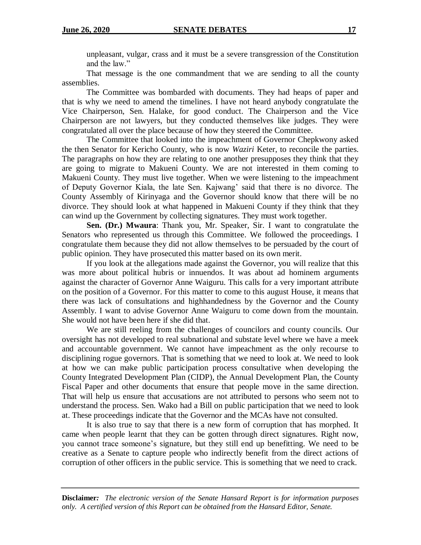unpleasant, vulgar, crass and it must be a severe transgression of the Constitution and the law."

That message is the one commandment that we are sending to all the county assemblies.

The Committee was bombarded with documents. They had heaps of paper and that is why we need to amend the timelines. I have not heard anybody congratulate the Vice Chairperson, Sen. Halake, for good conduct. The Chairperson and the Vice Chairperson are not lawyers, but they conducted themselves like judges. They were congratulated all over the place because of how they steered the Committee.

The Committee that looked into the impeachment of Governor Chepkwony asked the then Senator for Kericho County, who is now *Waziri* Keter, to reconcile the parties. The paragraphs on how they are relating to one another presupposes they think that they are going to migrate to Makueni County. We are not interested in them coming to Makueni County. They must live together. When we were listening to the impeachment of Deputy Governor Kiala, the late Sen. Kajwang' said that there is no divorce. The County Assembly of Kirinyaga and the Governor should know that there will be no divorce. They should look at what happened in Makueni County if they think that they can wind up the Government by collecting signatures. They must work together.

**Sen. (Dr.) Mwaura**: Thank you, Mr. Speaker, Sir. I want to congratulate the Senators who represented us through this Committee. We followed the proceedings. I congratulate them because they did not allow themselves to be persuaded by the court of public opinion. They have prosecuted this matter based on its own merit.

If you look at the allegations made against the Governor, you will realize that this was more about political hubris or innuendos. It was about ad hominem arguments against the character of Governor Anne Waiguru. This calls for a very important attribute on the position of a Governor. For this matter to come to this august House, it means that there was lack of consultations and highhandedness by the Governor and the County Assembly. I want to advise Governor Anne Waiguru to come down from the mountain. She would not have been here if she did that.

We are still reeling from the challenges of councilors and county councils. Our oversight has not developed to real subnational and substate level where we have a meek and accountable government. We cannot have impeachment as the only recourse to disciplining rogue governors. That is something that we need to look at. We need to look at how we can make public participation process consultative when developing the County Integrated Development Plan (CIDP), the Annual Development Plan, the County Fiscal Paper and other documents that ensure that people move in the same direction. That will help us ensure that accusations are not attributed to persons who seem not to understand the process. Sen. Wako had a Bill on public participation that we need to look at. These proceedings indicate that the Governor and the MCAs have not consulted.

It is also true to say that there is a new form of corruption that has morphed. It came when people learnt that they can be gotten through direct signatures. Right now, you cannot trace someone's signature, but they still end up benefitting. We need to be creative as a Senate to capture people who indirectly benefit from the direct actions of corruption of other officers in the public service. This is something that we need to crack.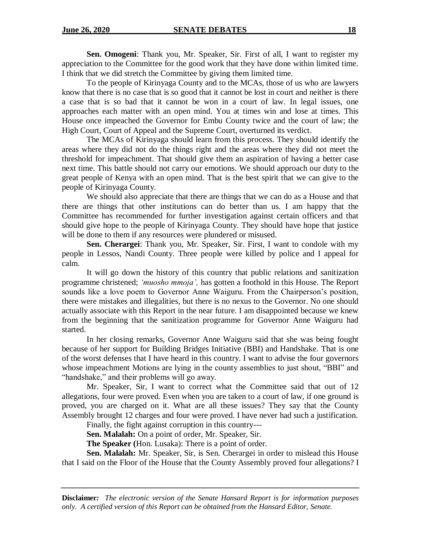**Sen. Omogeni**: Thank you, Mr. Speaker, Sir. First of all, I want to register my appreciation to the Committee for the good work that they have done within limited time. I think that we did stretch the Committee by giving them limited time.

To the people of Kirinyaga County and to the MCAs, those of us who are lawyers know that there is no case that is so good that it cannot be lost in court and neither is there a case that is so bad that it cannot be won in a court of law. In legal issues, one approaches each matter with an open mind. You at times win and lose at times. This House once impeached the Governor for Embu County twice and the court of law; the High Court, Court of Appeal and the Supreme Court, overturned its verdict.

The MCAs of Kirinyaga should learn from this process. They should identify the areas where they did not do the things right and the areas where they did not meet the threshold for impeachment. That should give them an aspiration of having a better case next time. This battle should not carry our emotions. We should approach our duty to the great people of Kenya with an open mind. That is the best spirit that we can give to the people of Kirinyaga County.

We should also appreciate that there are things that we can do as a House and that there are things that other institutions can do better than us. I am happy that the Committee has recommended for further investigation against certain officers and that should give hope to the people of Kirinyaga County. They should have hope that justice will be done to them if any resources were plundered or misused.

**Sen. Cherargei**: Thank you, Mr. Speaker, Sir. First, I want to condole with my people in Lessos, Nandi County. Three people were killed by police and I appeal for calm.

It will go down the history of this country that public relations and sanitization programme christened; *'muosho mmoja',* has gotten a foothold in this House. The Report sounds like a love poem to Governor Anne Waiguru. From the Chairperson's position, there were mistakes and illegalities, but there is no nexus to the Governor. No one should actually associate with this Report in the near future. I am disappointed because we knew from the beginning that the sanitization programme for Governor Anne Waiguru had started.

In her closing remarks, Governor Anne Waiguru said that she was being fought because of her support for Building Bridges Initiative (BBI) and Handshake. That is one of the worst defenses that I have heard in this country. I want to advise the four governors whose impeachment Motions are lying in the county assemblies to just shout, "BBI" and "handshake," and their problems will go away.

Mr. Speaker, Sir, I want to correct what the Committee said that out of 12 allegations, four were proved. Even when you are taken to a court of law, if one ground is proved, you are charged on it. What are all these issues? They say that the County Assembly brought 12 charges and four were proved. I have never had such a justification.

Finally, the fight against corruption in this country---

**Sen. Malalah:** On a point of order, Mr. Speaker, Sir.

**The Speaker (**Hon. Lusaka): There is a point of order.

**Sen. Malalah:** Mr. Speaker, Sir, is Sen. Cherargei in order to mislead this House that I said on the Floor of the House that the County Assembly proved four allegations? I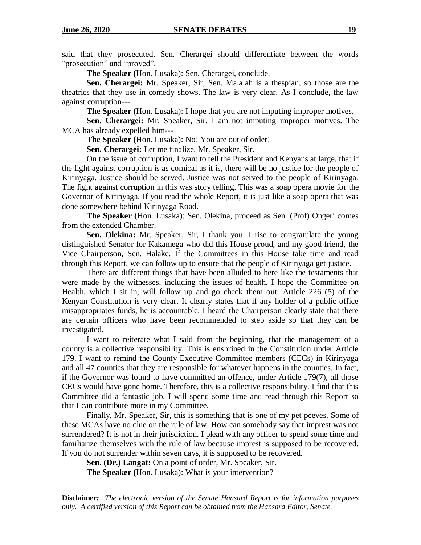said that they prosecuted. Sen. Cherargei should differentiate between the words "prosecution" and "proved".

**The Speaker (**Hon. Lusaka): Sen. Cherargei, conclude.

**Sen. Cherargei:** Mr. Speaker, Sir, Sen. Malalah is a thespian, so those are the theatrics that they use in comedy shows. The law is very clear. As I conclude, the law against corruption---

**The Speaker (**Hon. Lusaka): I hope that you are not imputing improper motives.

**Sen. Cherargei:** Mr. Speaker, Sir, I am not imputing improper motives. The MCA has already expelled him---

**The Speaker (**Hon. Lusaka): No! You are out of order!

**Sen. Cherargei:** Let me finalize, Mr. Speaker, Sir.

On the issue of corruption, I want to tell the President and Kenyans at large, that if the fight against corruption is as comical as it is, there will be no justice for the people of Kirinyaga. Justice should be served. Justice was not served to the people of Kirinyaga. The fight against corruption in this was story telling. This was a soap opera movie for the Governor of Kirinyaga. If you read the whole Report, it is just like a soap opera that was done somewhere behind Kirinyaga Road.

**The Speaker (**Hon. Lusaka): Sen. Olekina, proceed as Sen. (Prof) Ongeri comes from the extended Chamber.

**Sen. Olekina:** Mr. Speaker, Sir, I thank you. I rise to congratulate the young distinguished Senator for Kakamega who did this House proud, and my good friend, the Vice Chairperson, Sen. Halake. If the Committees in this House take time and read through this Report, we can follow up to ensure that the people of Kirinyaga get justice.

There are different things that have been alluded to here like the testaments that were made by the witnesses, including the issues of health. I hope the Committee on Health, which I sit in, will follow up and go check them out. Article 226 (5) of the Kenyan Constitution is very clear. It clearly states that if any holder of a public office misappropriates funds, he is accountable. I heard the Chairperson clearly state that there are certain officers who have been recommended to step aside so that they can be investigated.

I want to reiterate what I said from the beginning, that the management of a county is a collective responsibility. This is enshrined in the Constitution under Article 179. I want to remind the County Executive Committee members (CECs) in Kirinyaga and all 47 counties that they are responsible for whatever happens in the counties. In fact, if the Governor was found to have committed an offence, under Article 179(7), all those CECs would have gone home. Therefore, this is a collective responsibility. I find that this Committee did a fantastic job. I will spend some time and read through this Report so that I can contribute more in my Committee.

Finally, Mr. Speaker, Sir, this is something that is one of my pet peeves. Some of these MCAs have no clue on the rule of law. How can somebody say that imprest was not surrendered? It is not in their jurisdiction. I plead with any officer to spend some time and familiarize themselves with the rule of law because imprest is supposed to be recovered. If you do not surrender within seven days, it is supposed to be recovered.

**Sen. (Dr.) Langat:** On a point of order, Mr. Speaker, Sir.

**The Speaker (**Hon. Lusaka): What is your intervention?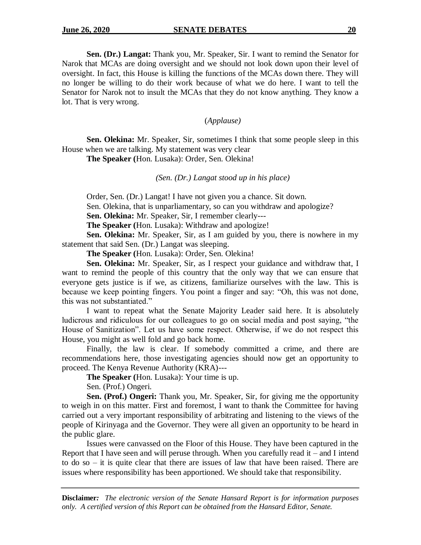**Sen. (Dr.) Langat:** Thank you, Mr. Speaker, Sir. I want to remind the Senator for Narok that MCAs are doing oversight and we should not look down upon their level of oversight. In fact, this House is killing the functions of the MCAs down there. They will no longer be willing to do their work because of what we do here. I want to tell the Senator for Narok not to insult the MCAs that they do not know anything. They know a lot. That is very wrong.

(*Applause)*

**Sen. Olekina:** Mr. Speaker, Sir, sometimes I think that some people sleep in this House when we are talking. My statement was very clear

**The Speaker (**Hon. Lusaka): Order, Sen. Olekina!

*(Sen. (Dr.) Langat stood up in his place)*

Order, Sen. (Dr.) Langat! I have not given you a chance. Sit down.

Sen. Olekina, that is unparliamentary, so can you withdraw and apologize?

**Sen. Olekina:** Mr. Speaker, Sir, I remember clearly---

**The Speaker (**Hon. Lusaka): Withdraw and apologize!

**Sen. Olekina:** Mr. Speaker, Sir, as I am guided by you, there is nowhere in my statement that said Sen. (Dr.) Langat was sleeping.

**The Speaker (**Hon. Lusaka): Order, Sen. Olekina!

**Sen. Olekina:** Mr. Speaker, Sir, as I respect your guidance and withdraw that, I want to remind the people of this country that the only way that we can ensure that everyone gets justice is if we, as citizens, familiarize ourselves with the law. This is because we keep pointing fingers. You point a finger and say: "Oh, this was not done, this was not substantiated."

I want to repeat what the Senate Majority Leader said here. It is absolutely ludicrous and ridiculous for our colleagues to go on social media and post saying, "the House of Sanitization". Let us have some respect. Otherwise, if we do not respect this House, you might as well fold and go back home.

Finally, the law is clear. If somebody committed a crime, and there are recommendations here, those investigating agencies should now get an opportunity to proceed. The Kenya Revenue Authority (KRA)---

**The Speaker (**Hon. Lusaka): Your time is up.

Sen. (Prof.) Ongeri.

**Sen. (Prof.) Ongeri:** Thank you, Mr. Speaker, Sir, for giving me the opportunity to weigh in on this matter. First and foremost, I want to thank the Committee for having carried out a very important responsibility of arbitrating and listening to the views of the people of Kirinyaga and the Governor. They were all given an opportunity to be heard in the public glare.

Issues were canvassed on the Floor of this House. They have been captured in the Report that I have seen and will peruse through. When you carefully read it – and I intend to do so – it is quite clear that there are issues of law that have been raised. There are issues where responsibility has been apportioned. We should take that responsibility.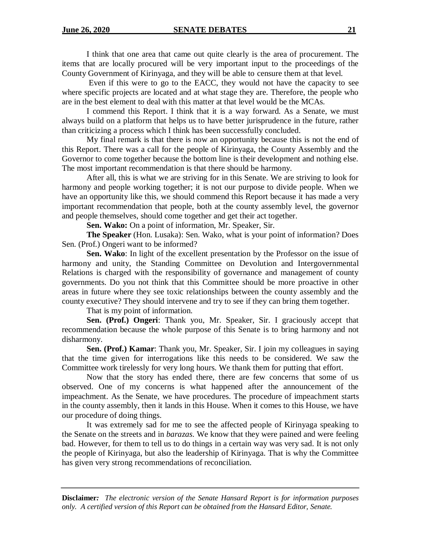I think that one area that came out quite clearly is the area of procurement. The items that are locally procured will be very important input to the proceedings of the County Government of Kirinyaga, and they will be able to censure them at that level.

Even if this were to go to the EACC, they would not have the capacity to see where specific projects are located and at what stage they are. Therefore, the people who are in the best element to deal with this matter at that level would be the MCAs.

I commend this Report. I think that it is a way forward. As a Senate, we must always build on a platform that helps us to have better jurisprudence in the future, rather than criticizing a process which I think has been successfully concluded.

My final remark is that there is now an opportunity because this is not the end of this Report. There was a call for the people of Kirinyaga, the County Assembly and the Governor to come together because the bottom line is their development and nothing else. The most important recommendation is that there should be harmony.

After all, this is what we are striving for in this Senate. We are striving to look for harmony and people working together; it is not our purpose to divide people. When we have an opportunity like this, we should commend this Report because it has made a very important recommendation that people, both at the county assembly level, the governor and people themselves, should come together and get their act together.

**Sen. Wako:** On a point of information, Mr. Speaker, Sir.

**The Speaker** (Hon. Lusaka): Sen. Wako, what is your point of information? Does Sen. (Prof.) Ongeri want to be informed?

**Sen. Wako**: In light of the excellent presentation by the Professor on the issue of harmony and unity, the Standing Committee on Devolution and Intergovernmental Relations is charged with the responsibility of governance and management of county governments. Do you not think that this Committee should be more proactive in other areas in future where they see toxic relationships between the county assembly and the county executive? They should intervene and try to see if they can bring them together.

That is my point of information.

**Sen. (Prof.) Ongeri**: Thank you, Mr. Speaker, Sir. I graciously accept that recommendation because the whole purpose of this Senate is to bring harmony and not disharmony.

**Sen. (Prof.) Kamar**: Thank you, Mr. Speaker, Sir. I join my colleagues in saying that the time given for interrogations like this needs to be considered. We saw the Committee work tirelessly for very long hours. We thank them for putting that effort.

Now that the story has ended there, there are few concerns that some of us observed. One of my concerns is what happened after the announcement of the impeachment. As the Senate, we have procedures. The procedure of impeachment starts in the county assembly, then it lands in this House. When it comes to this House, we have our procedure of doing things.

It was extremely sad for me to see the affected people of Kirinyaga speaking to the Senate on the streets and in *barazas*. We know that they were pained and were feeling bad. However, for them to tell us to do things in a certain way was very sad. It is not only the people of Kirinyaga, but also the leadership of Kirinyaga. That is why the Committee has given very strong recommendations of reconciliation.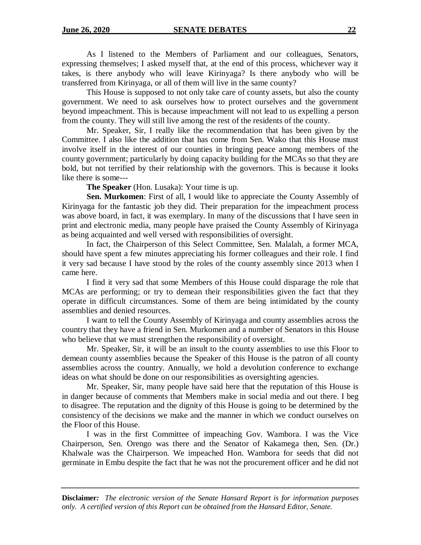As I listened to the Members of Parliament and our colleagues, Senators, expressing themselves; I asked myself that, at the end of this process, whichever way it takes, is there anybody who will leave Kirinyaga? Is there anybody who will be transferred from Kirinyaga, or all of them will live in the same county?

This House is supposed to not only take care of county assets, but also the county government. We need to ask ourselves how to protect ourselves and the government beyond impeachment. This is because impeachment will not lead to us expelling a person from the county. They will still live among the rest of the residents of the county.

Mr. Speaker, Sir, I really like the recommendation that has been given by the Committee. I also like the addition that has come from Sen. Wako that this House must involve itself in the interest of our counties in bringing peace among members of the county government; particularly by doing capacity building for the MCAs so that they are bold, but not terrified by their relationship with the governors. This is because it looks like there is some---

**The Speaker** (Hon. Lusaka): Your time is up.

**Sen. Murkomen**: First of all, I would like to appreciate the County Assembly of Kirinyaga for the fantastic job they did. Their preparation for the impeachment process was above board, in fact, it was exemplary. In many of the discussions that I have seen in print and electronic media, many people have praised the County Assembly of Kirinyaga as being acquainted and well versed with responsibilities of oversight.

In fact, the Chairperson of this Select Committee, Sen. Malalah, a former MCA, should have spent a few minutes appreciating his former colleagues and their role. I find it very sad because I have stood by the roles of the county assembly since 2013 when I came here.

I find it very sad that some Members of this House could disparage the role that MCAs are performing; or try to demean their responsibilities given the fact that they operate in difficult circumstances. Some of them are being intimidated by the county assemblies and denied resources.

I want to tell the County Assembly of Kirinyaga and county assemblies across the country that they have a friend in Sen. Murkomen and a number of Senators in this House who believe that we must strengthen the responsibility of oversight.

Mr. Speaker, Sir, it will be an insult to the county assemblies to use this Floor to demean county assemblies because the Speaker of this House is the patron of all county assemblies across the country. Annually, we hold a devolution conference to exchange ideas on what should be done on our responsibilities as oversighting agencies.

Mr. Speaker, Sir, many people have said here that the reputation of this House is in danger because of comments that Members make in social media and out there. I beg to disagree. The reputation and the dignity of this House is going to be determined by the consistency of the decisions we make and the manner in which we conduct ourselves on the Floor of this House.

I was in the first Committee of impeaching Gov. Wambora. I was the Vice Chairperson, Sen. Orengo was there and the Senator of Kakamega then, Sen. (Dr.) Khalwale was the Chairperson. We impeached Hon. Wambora for seeds that did not germinate in Embu despite the fact that he was not the procurement officer and he did not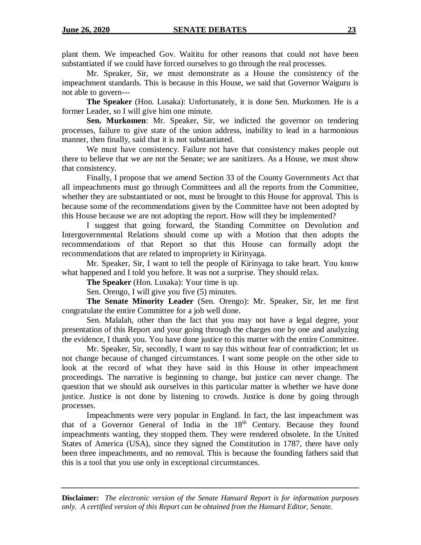plant them. We impeached Gov. Waititu for other reasons that could not have been substantiated if we could have forced ourselves to go through the real processes.

Mr. Speaker, Sir, we must demonstrate as a House the consistency of the impeachment standards. This is because in this House, we said that Governor Waiguru is not able to govern---

**The Speaker** (Hon. Lusaka): Unfortunately, it is done Sen. Murkomen. He is a former Leader, so I will give him one minute.

**Sen. Murkomen**: Mr. Speaker, Sir, we indicted the governor on tendering processes, failure to give state of the union address, inability to lead in a harmonious manner, then finally, said that it is not substantiated.

We must have consistency. Failure not have that consistency makes people out there to believe that we are not the Senate; we are sanitizers. As a House, we must show that consistency.

Finally, I propose that we amend Section 33 of the County Governments Act that all impeachments must go through Committees and all the reports from the Committee, whether they are substantiated or not, must be brought to this House for approval. This is because some of the recommendations given by the Committee have not been adopted by this House because we are not adopting the report. How will they be implemented?

I suggest that going forward, the Standing Committee on Devolution and Intergovernmental Relations should come up with a Motion that then adopts the recommendations of that Report so that this House can formally adopt the recommendations that are related to impropriety in Kirinyaga.

Mr. Speaker, Sir, I want to tell the people of Kirinyaga to take heart. You know what happened and I told you before. It was not a surprise. They should relax.

**The Speaker** (Hon. Lusaka): Your time is up.

Sen. Orengo, I will give you five (5) minutes.

**The Senate Minority Leader** (Sen. Orengo): Mr. Speaker, Sir, let me first congratulate the entire Committee for a job well done.

Sen. Malalah, other than the fact that you may not have a legal degree, your presentation of this Report and your going through the charges one by one and analyzing the evidence, I thank you. You have done justice to this matter with the entire Committee.

Mr. Speaker, Sir, secondly, I want to say this without fear of contradiction; let us not change because of changed circumstances. I want some people on the other side to look at the record of what they have said in this House in other impeachment proceedings. The narrative is beginning to change, but justice can never change. The question that we should ask ourselves in this particular matter is whether we have done justice. Justice is not done by listening to crowds. Justice is done by going through processes.

Impeachments were very popular in England. In fact, the last impeachment was that of a Governor General of India in the 18<sup>th</sup> Century. Because they found impeachments wanting, they stopped them. They were rendered obsolete. In the United States of America (USA), since they signed the Constitution in 1787, there have only been three impeachments, and no removal. This is because the founding fathers said that this is a tool that you use only in exceptional circumstances.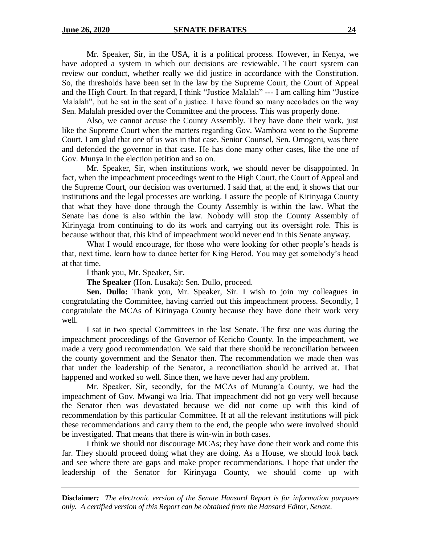Mr. Speaker, Sir, in the USA, it is a political process. However, in Kenya, we have adopted a system in which our decisions are reviewable. The court system can review our conduct, whether really we did justice in accordance with the Constitution. So, the thresholds have been set in the law by the Supreme Court, the Court of Appeal and the High Court. In that regard, I think "Justice Malalah" --- I am calling him "Justice Malalah", but he sat in the seat of a justice. I have found so many accolades on the way Sen. Malalah presided over the Committee and the process. This was properly done.

Also, we cannot accuse the County Assembly. They have done their work, just like the Supreme Court when the matters regarding Gov. Wambora went to the Supreme Court. I am glad that one of us was in that case. Senior Counsel, Sen. Omogeni, was there and defended the governor in that case. He has done many other cases, like the one of Gov. Munya in the election petition and so on.

Mr. Speaker, Sir, when institutions work, we should never be disappointed. In fact, when the impeachment proceedings went to the High Court, the Court of Appeal and the Supreme Court, our decision was overturned. I said that, at the end, it shows that our institutions and the legal processes are working. I assure the people of Kirinyaga County that what they have done through the County Assembly is within the law. What the Senate has done is also within the law. Nobody will stop the County Assembly of Kirinyaga from continuing to do its work and carrying out its oversight role. This is because without that, this kind of impeachment would never end in this Senate anyway.

What I would encourage, for those who were looking for other people's heads is that, next time, learn how to dance better for King Herod. You may get somebody's head at that time.

I thank you, Mr. Speaker, Sir.

**The Speaker** (Hon. Lusaka): Sen. Dullo, proceed.

**Sen. Dullo:** Thank you, Mr. Speaker, Sir. I wish to join my colleagues in congratulating the Committee, having carried out this impeachment process. Secondly, I congratulate the MCAs of Kirinyaga County because they have done their work very well.

I sat in two special Committees in the last Senate. The first one was during the impeachment proceedings of the Governor of Kericho County. In the impeachment, we made a very good recommendation. We said that there should be reconciliation between the county government and the Senator then. The recommendation we made then was that under the leadership of the Senator, a reconciliation should be arrived at. That happened and worked so well. Since then, we have never had any problem.

Mr. Speaker, Sir, secondly, for the MCAs of Murang'a County, we had the impeachment of Gov. Mwangi wa Iria. That impeachment did not go very well because the Senator then was devastated because we did not come up with this kind of recommendation by this particular Committee. If at all the relevant institutions will pick these recommendations and carry them to the end, the people who were involved should be investigated. That means that there is win-win in both cases.

I think we should not discourage MCAs; they have done their work and come this far. They should proceed doing what they are doing. As a House, we should look back and see where there are gaps and make proper recommendations. I hope that under the leadership of the Senator for Kirinyaga County, we should come up with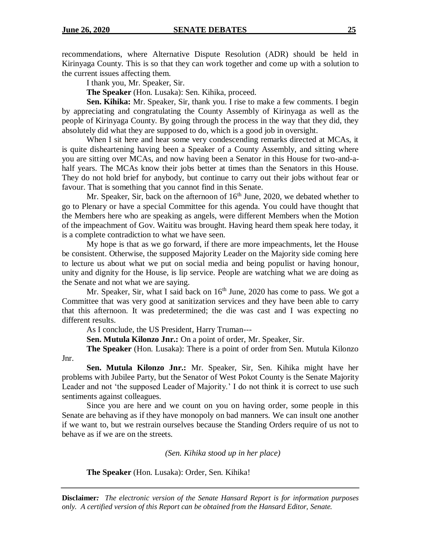recommendations, where Alternative Dispute Resolution (ADR) should be held in Kirinyaga County. This is so that they can work together and come up with a solution to the current issues affecting them.

I thank you, Mr. Speaker, Sir.

**The Speaker** (Hon. Lusaka): Sen. Kihika, proceed.

**Sen. Kihika:** Mr. Speaker, Sir, thank you. I rise to make a few comments. I begin by appreciating and congratulating the County Assembly of Kirinyaga as well as the people of Kirinyaga County. By going through the process in the way that they did, they absolutely did what they are supposed to do, which is a good job in oversight.

When I sit here and hear some very condescending remarks directed at MCAs, it is quite disheartening having been a Speaker of a County Assembly, and sitting where you are sitting over MCAs, and now having been a Senator in this House for two-and-ahalf years. The MCAs know their jobs better at times than the Senators in this House. They do not hold brief for anybody, but continue to carry out their jobs without fear or favour. That is something that you cannot find in this Senate.

Mr. Speaker, Sir, back on the afternoon of  $16<sup>th</sup>$  June, 2020, we debated whether to go to Plenary or have a special Committee for this agenda. You could have thought that the Members here who are speaking as angels, were different Members when the Motion of the impeachment of Gov. Waititu was brought. Having heard them speak here today, it is a complete contradiction to what we have seen.

My hope is that as we go forward, if there are more impeachments, let the House be consistent. Otherwise, the supposed Majority Leader on the Majority side coming here to lecture us about what we put on social media and being populist or having honour, unity and dignity for the House, is lip service. People are watching what we are doing as the Senate and not what we are saying.

Mr. Speaker, Sir, what I said back on  $16<sup>th</sup>$  June, 2020 has come to pass. We got a Committee that was very good at sanitization services and they have been able to carry that this afternoon. It was predetermined; the die was cast and I was expecting no different results.

As I conclude, the US President, Harry Truman---

**Sen. Mutula Kilonzo Jnr.:** On a point of order, Mr. Speaker, Sir.

**The Speaker** (Hon. Lusaka): There is a point of order from Sen. Mutula Kilonzo

Jnr.

**Sen. Mutula Kilonzo Jnr.:** Mr. Speaker, Sir, Sen. Kihika might have her problems with Jubilee Party, but the Senator of West Pokot County is the Senate Majority Leader and not 'the supposed Leader of Majority.' I do not think it is correct to use such sentiments against colleagues.

Since you are here and we count on you on having order, some people in this Senate are behaving as if they have monopoly on bad manners. We can insult one another if we want to, but we restrain ourselves because the Standing Orders require of us not to behave as if we are on the streets.

*(Sen. Kihika stood up in her place)*

**The Speaker** (Hon. Lusaka): Order, Sen. Kihika!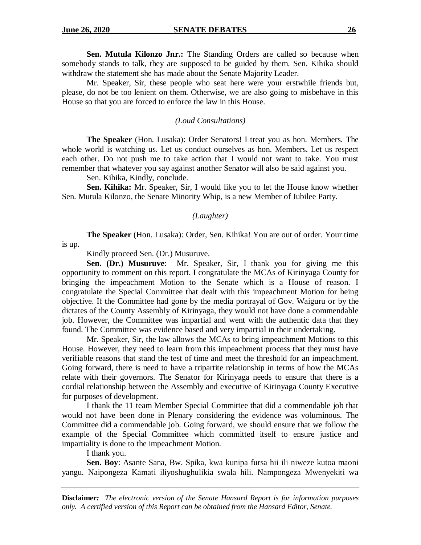**Sen. Mutula Kilonzo Jnr.:** The Standing Orders are called so because when somebody stands to talk, they are supposed to be guided by them. Sen. Kihika should withdraw the statement she has made about the Senate Majority Leader.

Mr. Speaker, Sir, these people who seat here were your erstwhile friends but, please, do not be too lenient on them. Otherwise, we are also going to misbehave in this House so that you are forced to enforce the law in this House.

#### *(Loud Consultations)*

**The Speaker** (Hon. Lusaka): Order Senators! I treat you as hon. Members. The whole world is watching us. Let us conduct ourselves as hon. Members. Let us respect each other. Do not push me to take action that I would not want to take. You must remember that whatever you say against another Senator will also be said against you.

Sen. Kihika, Kindly, conclude.

**Sen. Kihika:** Mr. Speaker, Sir, I would like you to let the House know whether Sen. Mutula Kilonzo, the Senate Minority Whip, is a new Member of Jubilee Party.

#### *(Laughter)*

**The Speaker** (Hon. Lusaka): Order, Sen. Kihika! You are out of order. Your time is up.

Kindly proceed Sen. (Dr.) Musuruve.

**Sen. (Dr.) Musuruve**: Mr. Speaker, Sir, I thank you for giving me this opportunity to comment on this report. I congratulate the MCAs of Kirinyaga County for bringing the impeachment Motion to the Senate which is a House of reason. I congratulate the Special Committee that dealt with this impeachment Motion for being objective. If the Committee had gone by the media portrayal of Gov. Waiguru or by the dictates of the County Assembly of Kirinyaga, they would not have done a commendable job. However, the Committee was impartial and went with the authentic data that they found. The Committee was evidence based and very impartial in their undertaking.

Mr. Speaker, Sir, the law allows the MCAs to bring impeachment Motions to this House. However, they need to learn from this impeachment process that they must have verifiable reasons that stand the test of time and meet the threshold for an impeachment. Going forward, there is need to have a tripartite relationship in terms of how the MCAs relate with their governors. The Senator for Kirinyaga needs to ensure that there is a cordial relationship between the Assembly and executive of Kirinyaga County Executive for purposes of development.

I thank the 11 team Member Special Committee that did a commendable job that would not have been done in Plenary considering the evidence was voluminous. The Committee did a commendable job. Going forward, we should ensure that we follow the example of the Special Committee which committed itself to ensure justice and impartiality is done to the impeachment Motion.

I thank you.

**Sen. Boy**: Asante Sana, Bw. Spika, kwa kunipa fursa hii ili niweze kutoa maoni yangu. Naipongeza Kamati iliyoshughulikia swala hili. Nampongeza Mwenyekiti wa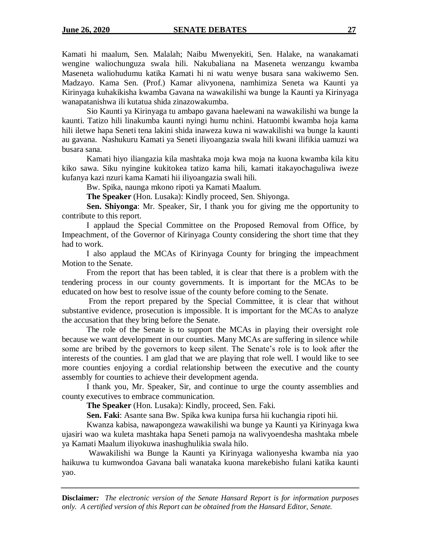Kamati hi maalum, Sen. Malalah; Naibu Mwenyekiti, Sen. Halake, na wanakamati wengine waliochunguza swala hili. Nakubaliana na Maseneta wenzangu kwamba Maseneta waliohudumu katika Kamati hi ni watu wenye busara sana wakiwemo Sen. Madzayo. Kama Sen. (Prof.) Kamar alivyonena, namhimiza Seneta wa Kaunti ya Kirinyaga kuhakikisha kwamba Gavana na wawakilishi wa bunge la Kaunti ya Kirinyaga wanapatanishwa ili kutatua shida zinazowakumba.

Sio Kaunti ya Kirinyaga tu ambapo gavana haelewani na wawakilishi wa bunge la kaunti. Tatizo hili linakumba kaunti nyingi humu nchini. Hatuombi kwamba hoja kama hili iletwe hapa Seneti tena lakini shida inaweza kuwa ni wawakilishi wa bunge la kaunti au gavana. Nashukuru Kamati ya Seneti iliyoangazia swala hili kwani ilifikia uamuzi wa busara sana.

Kamati hiyo iliangazia kila mashtaka moja kwa moja na kuona kwamba kila kitu kiko sawa. Siku nyingine kukitokea tatizo kama hili, kamati itakayochaguliwa iweze kufanya kazi nzuri kama Kamati hii iliyoangazia swali hili.

Bw. Spika, naunga mkono ripoti ya Kamati Maalum.

**The Speaker** (Hon. Lusaka): Kindly proceed, Sen. Shiyonga.

**Sen. Shiyonga**: Mr. Speaker, Sir, I thank you for giving me the opportunity to contribute to this report.

I applaud the Special Committee on the Proposed Removal from Office, by Impeachment, of the Governor of Kirinyaga County considering the short time that they had to work.

I also applaud the MCAs of Kirinyaga County for bringing the impeachment Motion to the Senate.

From the report that has been tabled, it is clear that there is a problem with the tendering process in our county governments. It is important for the MCAs to be educated on how best to resolve issue of the county before coming to the Senate.

From the report prepared by the Special Committee, it is clear that without substantive evidence, prosecution is impossible. It is important for the MCAs to analyze the accusation that they bring before the Senate.

The role of the Senate is to support the MCAs in playing their oversight role because we want development in our counties. Many MCAs are suffering in silence while some are bribed by the governors to keep silent. The Senate's role is to look after the interests of the counties. I am glad that we are playing that role well. I would like to see more counties enjoying a cordial relationship between the executive and the county assembly for counties to achieve their development agenda.

I thank you, Mr. Speaker, Sir, and continue to urge the county assemblies and county executives to embrace communication.

**The Speaker** (Hon. Lusaka): Kindly, proceed, Sen. Faki.

**Sen. Faki**: Asante sana Bw. Spika kwa kunipa fursa hii kuchangia ripoti hii.

Kwanza kabisa, nawapongeza wawakilishi wa bunge ya Kaunti ya Kirinyaga kwa ujasiri wao wa kuleta mashtaka hapa Seneti pamoja na walivyoendesha mashtaka mbele ya Kamati Maalum iliyokuwa inashughulikia swala hilo.

Wawakilishi wa Bunge la Kaunti ya Kirinyaga walionyesha kwamba nia yao haikuwa tu kumwondoa Gavana bali wanataka kuona marekebisho fulani katika kaunti yao.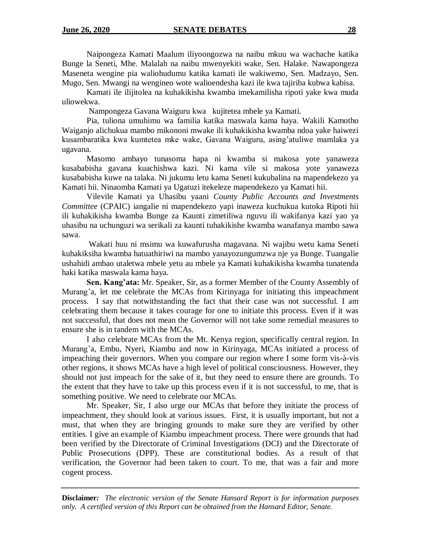Naipongeza Kamati Maalum iliyoongozwa na naibu mkuu wa wachache katika Bunge la Seneti, Mhe. Malalah na naibu mwenyekiti wake, Sen. Halake. Nawapongeza Maseneta wengine pia waliohudumu katika kamati ile wakiwemo, Sen. Madzayo, Sen. Mugo, Sen. Mwangi na wengineo wote walioendesha kazi ile kwa tajiriba kubwa kabisa.

Kamati ile ilijitolea na kuhakikisha kwamba imekamilisha ripoti yake kwa muda uliowekwa.

Nampongeza Gavana Waiguru kwa kujitetea mbele ya Kamati.

Pia, tuliona umuhimu wa familia katika maswala kama haya. Wakili Kamotho Waiganjo alichukua mambo mikononi mwake ili kuhakikisha kwamba ndoa yake haiwezi kusambaratika kwa kumtetea mke wake, Gavana Waiguru, asing'atuliwe mamlaka ya ugavana.

Masomo ambayo tunasoma hapa ni kwamba si makosa yote yanaweza kusababisha gavana kuachishwa kazi. Ni kama vile si makosa yote yanaweza kusababisha kuwe na talaka. Ni jukumu letu kama Seneti kukubalina na mapendekezo ya Kamati hii. Ninaomba Kamati ya Ugatuzi itekeleze mapendekezo ya Kamati hii.

Vilevile Kamati ya Uhasibu yaani *County Public Accounts and Investments Committee* (CPAIC) iangalie ni mapendekezo yapi inaweza kuchukua kutoka Ripoti hii ili kuhakikisha kwamba Bunge za Kaunti zimetiliwa nguvu ili wakifanya kazi yao ya uhasibu na uchunguzi wa serikali za kaunti tuhakikishe kwamba wanafanya mambo sawa sawa.

Wakati huu ni msimu wa kuwafurusha magavana. Ni wajibu wetu kama Seneti kuhakiksiha kwamba hatuathiriwi na mambo yanayozungumzwa nje ya Bunge. Tuangalie ushahidi ambao utaletwa mbele yetu au mbele ya Kamati kuhakikisha kwamba tunatenda haki katika maswala kama haya.

**Sen. Kang'ata:** Mr. Speaker, Sir, as a former Member of the County Assembly of Murang'a, let me celebrate the MCAs from Kirinyaga for initiating this impeachment process. I say that notwithstanding the fact that their case was not successful. I am celebrating them because it takes courage for one to initiate this process. Even if it was not successful, that does not mean the Governor will not take some remedial measures to ensure she is in tandem with the MCAs.

I also celebrate MCAs from the Mt. Kenya region, specifically central region. In Murang'a, Embu, Nyeri, Kiambu and now in Kirinyaga, MCAs initiated a process of impeaching their governors. When you compare our region where I some form vis-à-vis other regions, it shows MCAs have a high level of political consciousness. However, they should not just impeach for the sake of it, but they need to ensure there are grounds. To the extent that they have to take up this process even if it is not successful, to me, that is something positive. We need to celebrate our MCAs.

Mr. Speaker, Sir, I also urge our MCAs that before they initiate the process of impeachment, they should look at various issues. First, it is usually important, but not a must, that when they are bringing grounds to make sure they are verified by other entities. I give an example of Kiambu impeachment process. There were grounds that had been verified by the Directorate of Criminal Investigations (DCI) and the Directorate of Public Prosecutions (DPP). These are constitutional bodies. As a result of that verification, the Governor had been taken to court. To me, that was a fair and more cogent process.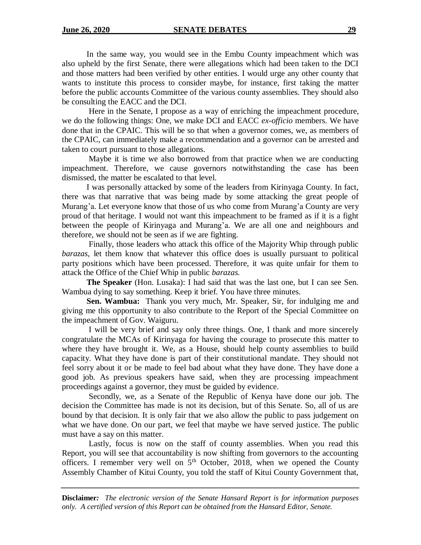In the same way, you would see in the Embu County impeachment which was also upheld by the first Senate, there were allegations which had been taken to the DCI and those matters had been verified by other entities. I would urge any other county that wants to institute this process to consider maybe, for instance, first taking the matter before the public accounts Committee of the various county assemblies. They should also be consulting the EACC and the DCI.

Here in the Senate, I propose as a way of enriching the impeachment procedure, we do the following things: One, we make DCI and EACC *ex-officio* members. We have done that in the CPAIC. This will be so that when a governor comes, we, as members of the CPAIC, can immediately make a recommendation and a governor can be arrested and taken to court pursuant to those allegations.

Maybe it is time we also borrowed from that practice when we are conducting impeachment. Therefore, we cause governors notwithstanding the case has been dismissed, the matter be escalated to that level.

I was personally attacked by some of the leaders from Kirinyaga County. In fact, there was that narrative that was being made by some attacking the great people of Murang'a. Let everyone know that those of us who come from Murang'a County are very proud of that heritage. I would not want this impeachment to be framed as if it is a fight between the people of Kirinyaga and Murang'a. We are all one and neighbours and therefore, we should not be seen as if we are fighting.

Finally, those leaders who attack this office of the Majority Whip through public *barazas,* let them know that whatever this office does is usually pursuant to political party positions which have been processed. Therefore, it was quite unfair for them to attack the Office of the Chief Whip in public *barazas.*

**The Speaker** (Hon. Lusaka): I had said that was the last one, but I can see Sen. Wambua dying to say something. Keep it brief. You have three minutes.

**Sen. Wambua:** Thank you very much, Mr. Speaker, Sir, for indulging me and giving me this opportunity to also contribute to the Report of the Special Committee on the impeachment of Gov. Waiguru.

I will be very brief and say only three things. One, I thank and more sincerely congratulate the MCAs of Kirinyaga for having the courage to prosecute this matter to where they have brought it. We, as a House, should help county assemblies to build capacity. What they have done is part of their constitutional mandate. They should not feel sorry about it or be made to feel bad about what they have done. They have done a good job. As previous speakers have said, when they are processing impeachment proceedings against a governor, they must be guided by evidence.

Secondly, we, as a Senate of the Republic of Kenya have done our job. The decision the Committee has made is not its decision, but of this Senate. So, all of us are bound by that decision. It is only fair that we also allow the public to pass judgement on what we have done. On our part, we feel that maybe we have served justice. The public must have a say on this matter.

Lastly, focus is now on the staff of county assemblies. When you read this Report, you will see that accountability is now shifting from governors to the accounting officers. I remember very well on  $5<sup>th</sup>$  October, 2018, when we opened the County Assembly Chamber of Kitui County, you told the staff of Kitui County Government that,